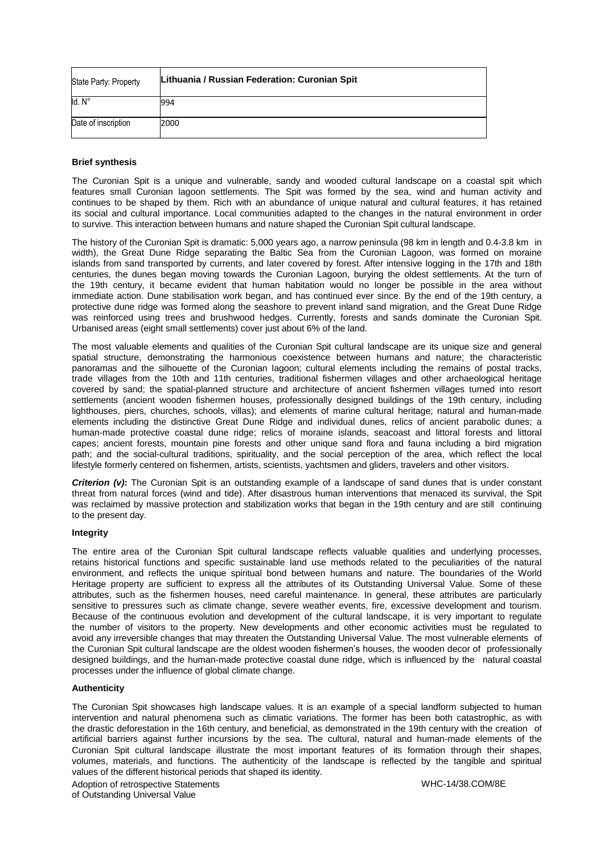| State Party: Property | Lithuania / Russian Federation: Curonian Spit |
|-----------------------|-----------------------------------------------|
| Id. N°                | 994                                           |
| Date of inscription   | 2000                                          |

## **Brief synthesis**

The Curonian Spit is a unique and vulnerable, sandy and wooded cultural landscape on a coastal spit which features small Curonian lagoon settlements. The Spit was formed by the sea, wind and human activity and continues to be shaped by them. Rich with an abundance of unique natural and cultural features, it has retained its social and cultural importance. Local communities adapted to the changes in the natural environment in order to survive. This interaction between humans and nature shaped the Curonian Spit cultural landscape.

The history of the Curonian Spit is dramatic: 5,000 years ago, a narrow peninsula (98 km in length and 0.4-3.8 km in width), the Great Dune Ridge separating the Baltic Sea from the Curonian Lagoon, was formed on moraine islands from sand transported by currents, and later covered by forest. After intensive logging in the 17th and 18th centuries, the dunes began moving towards the Curonian Lagoon, burying the oldest settlements. At the turn of the 19th century, it became evident that human habitation would no longer be possible in the area without immediate action. Dune stabilisation work began, and has continued ever since. By the end of the 19th century, a protective dune ridge was formed along the seashore to prevent inland sand migration, and the Great Dune Ridge was reinforced using trees and brushwood hedges. Currently, forests and sands dominate the Curonian Spit. Urbanised areas (eight small settlements) cover just about 6% of the land.

The most valuable elements and qualities of the Curonian Spit cultural landscape are its unique size and general spatial structure, demonstrating the harmonious coexistence between humans and nature; the characteristic panoramas and the silhouette of the Curonian lagoon; cultural elements including the remains of postal tracks, trade villages from the 10th and 11th centuries, traditional fishermen villages and other archaeological heritage covered by sand; the spatial-planned structure and architecture of ancient fishermen villages turned into resort settlements (ancient wooden fishermen houses, professionally designed buildings of the 19th century, including lighthouses, piers, churches, schools, villas); and elements of marine cultural heritage; natural and human-made elements including the distinctive Great Dune Ridge and individual dunes, relics of ancient parabolic dunes; a human-made protective coastal dune ridge; relics of moraine islands, seacoast and littoral forests and littoral capes; ancient forests, mountain pine forests and other unique sand flora and fauna including a bird migration path; and the social-cultural traditions, spirituality, and the social perception of the area, which reflect the local lifestyle formerly centered on fishermen, artists, scientists, yachtsmen and gliders, travelers and other visitors.

*Criterion (v)***:** The Curonian Spit is an outstanding example of a landscape of sand dunes that is under constant threat from natural forces (wind and tide). After disastrous human interventions that menaced its survival, the Spit was reclaimed by massive protection and stabilization works that began in the 19th century and are still continuing to the present day.

## **Integrity**

The entire area of the Curonian Spit cultural landscape reflects valuable qualities and underlying processes, retains historical functions and specific sustainable land use methods related to the peculiarities of the natural environment, and reflects the unique spiritual bond between humans and nature. The boundaries of the World Heritage property are sufficient to express all the attributes of its Outstanding Universal Value. Some of these attributes, such as the fishermen houses, need careful maintenance. In general, these attributes are particularly sensitive to pressures such as climate change, severe weather events, fire, excessive development and tourism. Because of the continuous evolution and development of the cultural landscape, it is very important to regulate the number of visitors to the property. New developments and other economic activities must be regulated to avoid any irreversible changes that may threaten the Outstanding Universal Value. The most vulnerable elements of the Curonian Spit cultural landscape are the oldest wooden fishermen's houses, the wooden decor of professionally designed buildings, and the human-made protective coastal dune ridge, which is influenced by the natural coastal processes under the influence of global climate change.

## **Authenticity**

The Curonian Spit showcases high landscape values. It is an example of a special landform subjected to human intervention and natural phenomena such as climatic variations. The former has been both catastrophic, as with the drastic deforestation in the 16th century, and beneficial, as demonstrated in the 19th century with the creation of artificial barriers against further incursions by the sea. The cultural, natural and human-made elements of the Curonian Spit cultural landscape illustrate the most important features of its formation through their shapes, volumes, materials, and functions. The authenticity of the landscape is reflected by the tangible and spiritual values of the different historical periods that shaped its identity.

Adoption of retrospective Statements of Outstanding Universal Value